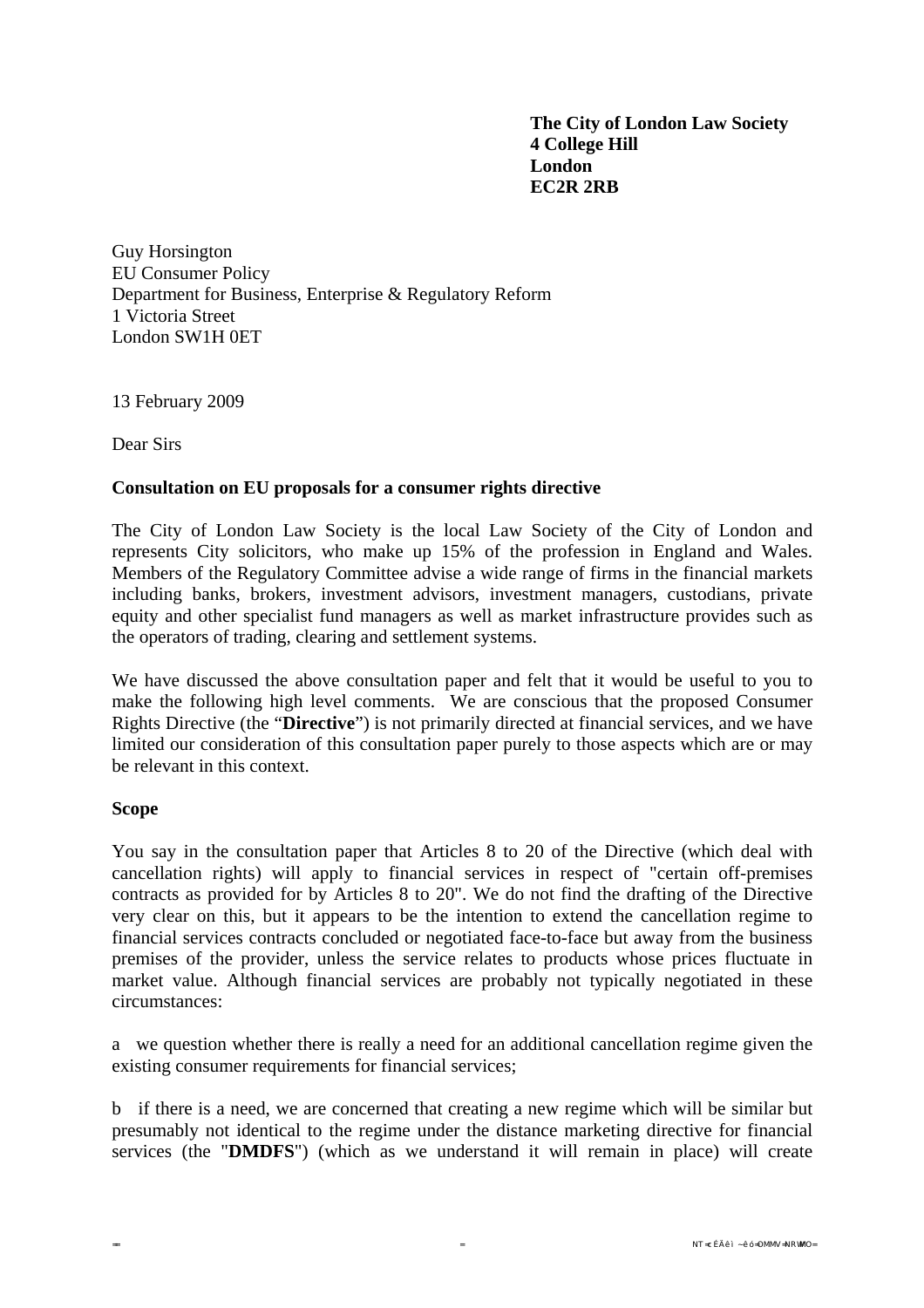**The City of London Law Society 4 College Hill London EC2R 2RB** 

Guy Horsington EU Consumer Policy Department for Business, Enterprise & Regulatory Reform 1 Victoria Street London SW1H 0ET

13 February 2009

Dear Sirs

#### **Consultation on EU proposals for a consumer rights directive**

The City of London Law Society is the local Law Society of the City of London and represents City solicitors, who make up 15% of the profession in England and Wales. Members of the Regulatory Committee advise a wide range of firms in the financial markets including banks, brokers, investment advisors, investment managers, custodians, private equity and other specialist fund managers as well as market infrastructure provides such as the operators of trading, clearing and settlement systems.

We have discussed the above consultation paper and felt that it would be useful to you to make the following high level comments. We are conscious that the proposed Consumer Rights Directive (the "**Directive**") is not primarily directed at financial services, and we have limited our consideration of this consultation paper purely to those aspects which are or may be relevant in this context.

#### **Scope**

You say in the consultation paper that Articles 8 to 20 of the Directive (which deal with cancellation rights) will apply to financial services in respect of "certain off-premises contracts as provided for by Articles 8 to 20". We do not find the drafting of the Directive very clear on this, but it appears to be the intention to extend the cancellation regime to financial services contracts concluded or negotiated face-to-face but away from the business premises of the provider, unless the service relates to products whose prices fluctuate in market value. Although financial services are probably not typically negotiated in these circumstances:

a we question whether there is really a need for an additional cancellation regime given the existing consumer requirements for financial services;

b if there is a need, we are concerned that creating a new regime which will be similar but presumably not identical to the regime under the distance marketing directive for financial services (the "**DMDFS**") (which as we understand it will remain in place) will create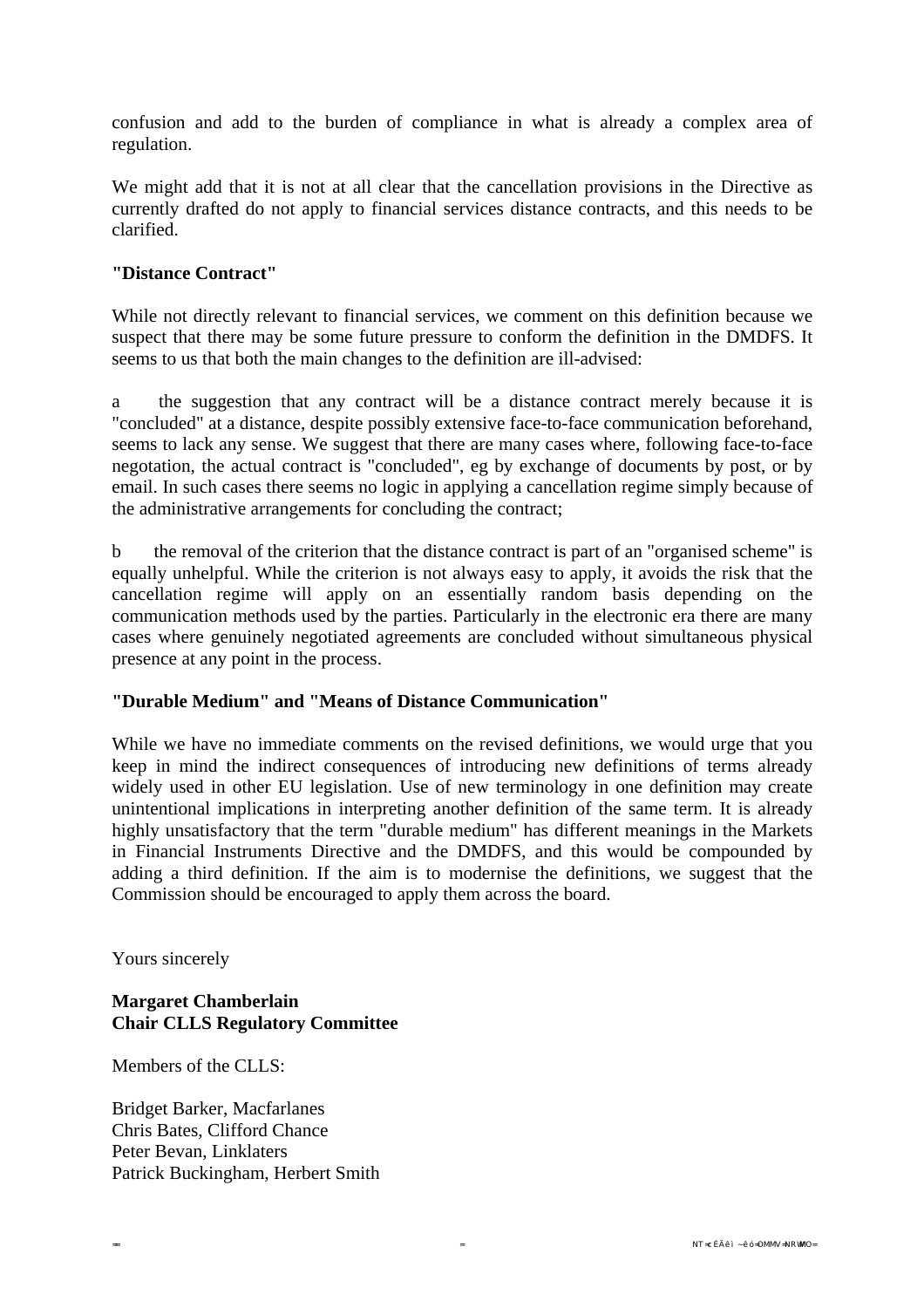confusion and add to the burden of compliance in what is already a complex area of regulation.

We might add that it is not at all clear that the cancellation provisions in the Directive as currently drafted do not apply to financial services distance contracts, and this needs to be clarified.

## **"Distance Contract"**

While not directly relevant to financial services, we comment on this definition because we suspect that there may be some future pressure to conform the definition in the DMDFS. It seems to us that both the main changes to the definition are ill-advised:

a the suggestion that any contract will be a distance contract merely because it is "concluded" at a distance, despite possibly extensive face-to-face communication beforehand, seems to lack any sense. We suggest that there are many cases where, following face-to-face negotation, the actual contract is "concluded", eg by exchange of documents by post, or by email. In such cases there seems no logic in applying a cancellation regime simply because of the administrative arrangements for concluding the contract;

b the removal of the criterion that the distance contract is part of an "organised scheme" is equally unhelpful. While the criterion is not always easy to apply, it avoids the risk that the cancellation regime will apply on an essentially random basis depending on the communication methods used by the parties. Particularly in the electronic era there are many cases where genuinely negotiated agreements are concluded without simultaneous physical presence at any point in the process.

## **"Durable Medium" and "Means of Distance Communication"**

While we have no immediate comments on the revised definitions, we would urge that you keep in mind the indirect consequences of introducing new definitions of terms already widely used in other EU legislation. Use of new terminology in one definition may create unintentional implications in interpreting another definition of the same term. It is already highly unsatisfactory that the term "durable medium" has different meanings in the Markets in Financial Instruments Directive and the DMDFS, and this would be compounded by adding a third definition. If the aim is to modernise the definitions, we suggest that the Commission should be encouraged to apply them across the board.

Yours sincerely

# **Margaret Chamberlain Chair CLLS Regulatory Committee**

Members of the CLLS:

Bridget Barker, Macfarlanes Chris Bates, Clifford Chance Peter Bevan, Linklaters Patrick Buckingham, Herbert Smith